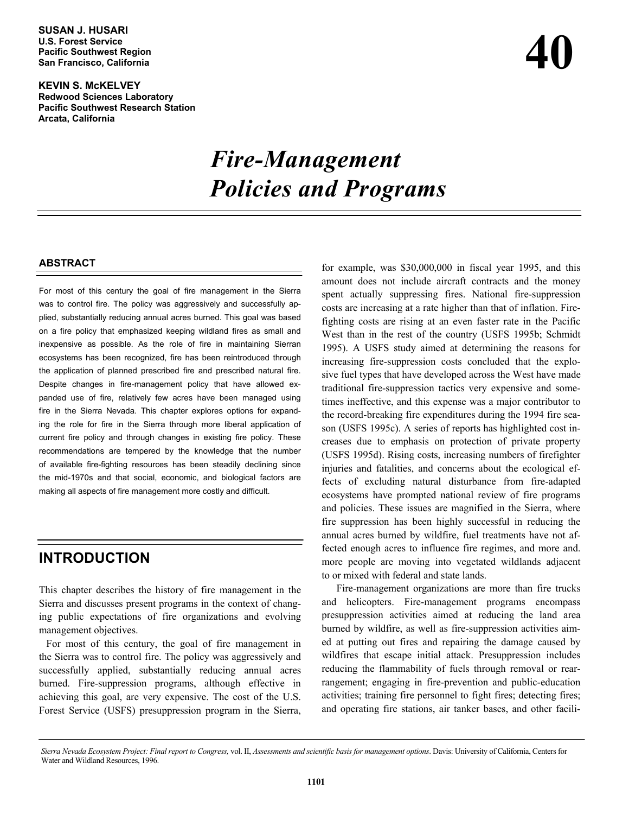**SUSAN J. HUSARI U.S. Forest Service Pacific Southwest Region San Francisco, California**

**KEVIN S. McKELVEY Redwood Sciences Laboratory Pacific Southwest Research Station Arcata, California** 

# *Fire-Management Policies and Programs*

#### **ABSTRACT**

For most of this century the goal of fire management in the Sierra was to control fire. The policy was aggressively and successfully applied, substantially reducing annual acres burned. This goal was based on a fire policy that emphasized keeping wildland fires as small and inexpensive as possible. As the role of fire in maintaining Sierran ecosystems has been recognized, fire has been reintroduced through the application of planned prescribed fire and prescribed natural fire. Despite changes in fire-management policy that have allowed expanded use of fire, relatively few acres have been managed using fire in the Sierra Nevada. This chapter explores options for expanding the role for fire in the Sierra through more liberal application of current fire policy and through changes in existing fire policy. These recommendations are tempered by the knowledge that the number of available fire-fighting resources has been steadily declining since the mid-1970s and that social, economic, and biological factors are making all aspects of fire management more costly and difficult.

### **INTRODUCTION**

This chapter describes the history of fire management in the Sierra and discusses present programs in the context of changing public expectations of fire organizations and evolving management objectives.

For most of this century, the goal of fire management in the Sierra was to control fire. The policy was aggressively and successfully applied, substantially reducing annual acres burned. Fire-suppression programs, although effective in achieving this goal, are very expensive. The cost of the U.S. Forest Service (USFS) presuppression program in the Sierra,

for example, was \$30,000,000 in fiscal year 1995, and this amount does not include aircraft contracts and the money spent actually suppressing fires. National fire-suppression costs are increasing at a rate higher than that of inflation. Firefighting costs are rising at an even faster rate in the Pacific West than in the rest of the country (USFS 1995b; Schmidt 1995). A USFS study aimed at determining the reasons for increasing fire-suppression costs concluded that the explosive fuel types that have developed across the West have made traditional fire-suppression tactics very expensive and sometimes ineffective, and this expense was a major contributor to the record-breaking fire expenditures during the 1994 fire season (USFS 1995c). A series of reports has highlighted cost increases due to emphasis on protection of private property (USFS 1995d). Rising costs, increasing numbers of firefighter injuries and fatalities, and concerns about the ecological effects of excluding natural disturbance from fire-adapted ecosystems have prompted national review of fire programs and policies. These issues are magnified in the Sierra, where fire suppression has been highly successful in reducing the annual acres burned by wildfire, fuel treatments have not affected enough acres to influence fire regimes, and more and. more people are moving into vegetated wildlands adjacent to or mixed with federal and state lands.

Fire-management organizations are more than fire trucks and helicopters. Fire-management programs encompass presuppression activities aimed at reducing the land area burned by wildfire, as well as fire-suppression activities aimed at putting out fires and repairing the damage caused by wildfires that escape initial attack. Presuppression includes reducing the flammability of fuels through removal or rearrangement; engaging in fire-prevention and public-education activities; training fire personnel to fight fires; detecting fires; and operating fire stations, air tanker bases, and other facili-

*Sierra Nevada Ecosystem Project: Final report to Congress,* vol. II, *Assessments and scientific basis for management options*. Davis: University of California, Centers for Water and Wildland Resources, 1996.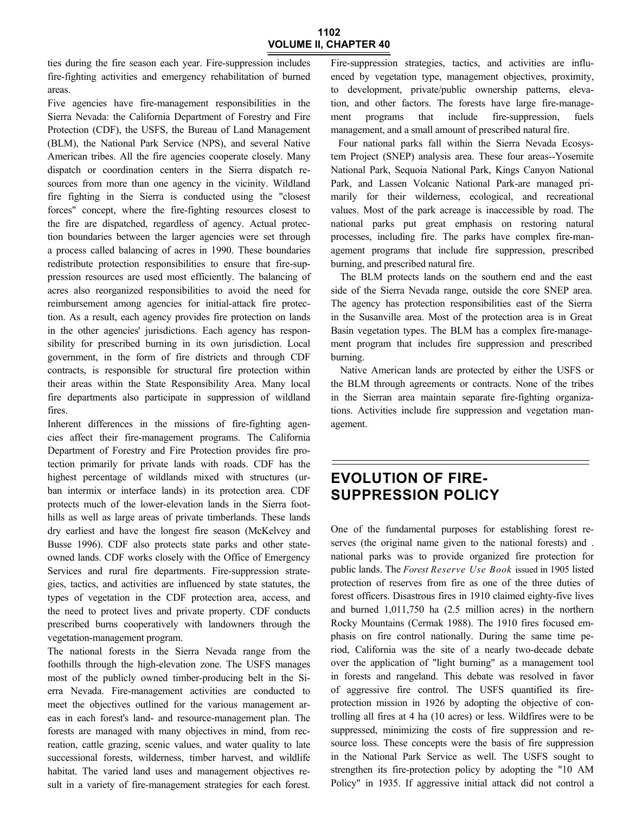ties during the fire season each year. Fire-suppression includes fire-fighting activities and emergency rehabilitation of burned areas.

Five agencies have fire-management responsibilities in the Sierra Nevada: the California Department of Forestry and Fire Protection (CDF), the USFS, the Bureau of Land Management (BLM), the National Park Service (NPS), and several Native American tribes. All the fire agencies cooperate closely. Many dispatch or coordination centers in the Sierra dispatch resources from more than one agency in the vicinity. Wildland fire fighting in the Sierra is conducted using the "closest forces" concept, where the fire-fighting resources closest to the fire are dispatched, regardless of agency. Actual protection boundaries between the larger agencies were set through a process called balancing of acres in 1990. These boundaries redistribute protection responsibilities to ensure that fire-suppression resources are used most efficiently. The balancing of acres also reorganized responsibilities to avoid the need for reimbursement among agencies for initial-attack fire protection. As a result, each agency provides fire protection on lands in the other agencies' jurisdictions. Each agency has responsibility for prescribed burning in its own jurisdiction. Local government, in the form of fire districts and through CDF contracts, is responsible for structural fire protection within their areas within the State Responsibility Area. Many local fire departments also participate in suppression of wildland fires.

Inherent differences in the missions of fire-fighting agencies affect their fire-management programs. The California Department of Forestry and Fire Protection provides fire protection primarily for private lands with roads. CDF has the highest percentage of wildlands mixed with structures (urban intermix or interface lands) in its protection area. CDF protects much of the lower-elevation lands in the Sierra foothills as well as large areas of private timberlands. These lands dry earliest and have the longest fire season (McKelvey and Busse 1996). CDF also protects state parks and other stateowned lands. CDF works closely with the Office of Emergency Services and rural fire departments. Fire-suppression strategies, tactics, and activities are influenced by state statutes, the types of vegetation in the CDF protection area, access, and the need to protect lives and private property. CDF conducts prescribed burns cooperatively with landowners through the vegetation-management program.

The national forests in the Sierra Nevada range from the foothills through the high-elevation zone. The USFS manages most of the publicly owned timber-producing belt in the Sierra Nevada. Fire-management activities are conducted to meet the objectives outlined for the various management areas in each forest's land- and resource-management plan. The forests are managed with many objectives in mind, from recreation, cattle grazing, scenic values, and water quality to late successional forests, wilderness, timber harvest, and wildlife habitat. The varied land uses and management objectives result in a variety of fire-management strategies for each forest.

Fire-suppression strategies, tactics, and activities are influenced by vegetation type, management objectives, proximity, to development, private/public ownership patterns, elevation, and other factors. The forests have large fire-management programs that include fire-suppression, fuels management, and a small amount of prescribed natural fire.

Four national parks fall within the Sierra Nevada Ecosystem Project (SNEP) analysis area. These four areas--Yosemite National Park, Sequoia National Park, Kings Canyon National Park, and Lassen Volcanic National Park-are managed primarily for their wilderness, ecological, and recreational values. Most of the park acreage is inaccessible by road. The national parks put great emphasis on restoring natural processes, including fire. The parks have complex fire-management programs that include fire suppression, prescribed burning, and prescribed natural fire.

The BLM protects lands on the southern end and the east side of the Sierra Nevada range, outside the core SNEP area. The agency has protection responsibilities east of the Sierra in the Susanville area. Most of the protection area is in Great Basin vegetation types. The BLM has a complex fire-management program that includes fire suppression and prescribed burning.

Native American lands are protected by either the USFS or the BLM through agreements or contracts. None of the tribes in the Sierran area maintain separate fire-fighting organizations. Activities include fire suppression and vegetation management.

### **EVOLUTION OF FIRE-SUPPRESSION POLICY**

One of the fundamental purposes for establishing forest reserves (the original name given to the national forests) and . national parks was to provide organized fire protection for public lands. The *Forest Reserve Use Book* issued in 1905 listed protection of reserves from fire as one of the three duties of forest officers. Disastrous fires in 1910 claimed eighty-five lives and burned 1,011,750 ha (2.5 million acres) in the northern Rocky Mountains (Cermak 1988). The 1910 fires focused emphasis on fire control nationally. During the same time period, California was the site of a nearly two-decade debate over the application of "light burning" as a management tool in forests and rangeland. This debate was resolved in favor of aggressive fire control. The USFS quantified its fireprotection mission in 1926 by adopting the objective of controlling all fires at 4 ha (10 acres) or less. Wildfires were to be suppressed, minimizing the costs of fire suppression and resource loss. These concepts were the basis of fire suppression in the National Park Service as well. The USFS sought to strengthen its fire-protection policy by adopting the "10 AM Policy" in 1935. If aggressive initial attack did not control a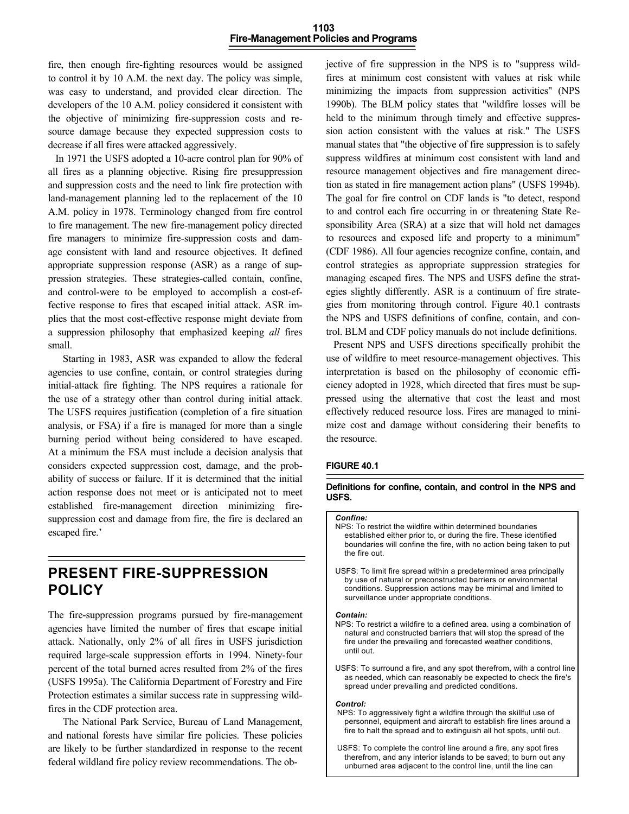fire, then enough fire-fighting resources would be assigned to control it by 10 A.M. the next day. The policy was simple, was easy to understand, and provided clear direction. The developers of the 10 A.M. policy considered it consistent with the objective of minimizing fire-suppression costs and resource damage because they expected suppression costs to decrease if all fires were attacked aggressively.

In 1971 the USFS adopted a 10-acre control plan for 90% of all fires as a planning objective. Rising fire presuppression and suppression costs and the need to link fire protection with land-management planning led to the replacement of the 10 A.M. policy in 1978. Terminology changed from fire control to fire management. The new fire-management policy directed fire managers to minimize fire-suppression costs and damage consistent with land and resource objectives. It defined appropriate suppression response (ASR) as a range of suppression strategies. These strategies-called contain, confine, and control-were to be employed to accomplish a cost-effective response to fires that escaped initial attack. ASR implies that the most cost-effective response might deviate from a suppression philosophy that emphasized keeping *all* fires small.

Starting in 1983, ASR was expanded to allow the federal agencies to use confine, contain, or control strategies during initial-attack fire fighting. The NPS requires a rationale for the use of a strategy other than control during initial attack. The USFS requires justification (completion of a fire situation analysis, or FSA) if a fire is managed for more than a single burning period without being considered to have escaped. At a minimum the FSA must include a decision analysis that considers expected suppression cost, damage, and the probability of success or failure. If it is determined that the initial action response does not meet or is anticipated not to meet established fire-management direction minimizing firesuppression cost and damage from fire, the fire is declared an escaped fire.'

### **PRESENT FIRE-SUPPRESSION POLICY**

The fire-suppression programs pursued by fire-management agencies have limited the number of fires that escape initial attack. Nationally, only 2% of all fires in USFS jurisdiction required large-scale suppression efforts in 1994. Ninety-four percent of the total burned acres resulted from 2% of the fires (USFS 1995a). The California Department of Forestry and Fire Protection estimates a similar success rate in suppressing wildfires in the CDF protection area.

The National Park Service, Bureau of Land Management, and national forests have similar fire policies. These policies are likely to be further standardized in response to the recent federal wildland fire policy review recommendations. The objective of fire suppression in the NPS is to "suppress wildfires at minimum cost consistent with values at risk while minimizing the impacts from suppression activities" (NPS 1990b). The BLM policy states that "wildfire losses will be held to the minimum through timely and effective suppression action consistent with the values at risk." The USFS manual states that "the objective of fire suppression is to safely suppress wildfires at minimum cost consistent with land and resource management objectives and fire management direction as stated in fire management action plans" (USFS 1994b). The goal for fire control on CDF lands is "to detect, respond to and control each fire occurring in or threatening State Responsibility Area (SRA) at a size that will hold net damages to resources and exposed life and property to a minimum" (CDF 1986). All four agencies recognize confine, contain, and control strategies as appropriate suppression strategies for managing escaped fires. The NPS and USFS define the strategies slightly differently. ASR is a continuum of fire strategies from monitoring through control. Figure 40.1 contrasts the NPS and USFS definitions of confine, contain, and control. BLM and CDF policy manuals do not include definitions.

Present NPS and USFS directions specifically prohibit the use of wildfire to meet resource-management objectives. This interpretation is based on the philosophy of economic efficiency adopted in 1928, which directed that fires must be suppressed using the alternative that cost the least and most effectively reduced resource loss. Fires are managed to minimize cost and damage without considering their benefits to the resource.

#### **FIGURE 40.1**

**Definitions for confine, contain, and control in the NPS and USFS.** 

#### *Confine:*

- NPS: To restrict the wildfire within determined boundaries established either prior to, or during the fire. These identified boundaries will confine the fire, with no action being taken to put the fire out.
- USFS: To limit fire spread within a predetermined area principally by use of natural or preconstructed barriers or environmental conditions. Suppression actions may be minimal and limited to surveillance under appropriate conditions.

#### *Contain:*

- NPS: To restrict a wildfire to a defined area. using a combination of natural and constructed barriers that will stop the spread of the fire under the prevailing and forecasted weather conditions, until out.
- USFS: To surround a fire, and any spot therefrom, with a control line as needed, which can reasonably be expected to check the fire's spread under prevailing and predicted conditions.

#### *Control:*

- NPS: To aggressively fight a wildfire through the skillful use of personnel, equipment and aircraft to establish fire lines around a fire to halt the spread and to extinguish all hot spots, until out.
- USFS: To complete the control line around a fire, any spot fires therefrom, and any interior islands to be saved; to burn out any unburned area adjacent to the control line, until the line can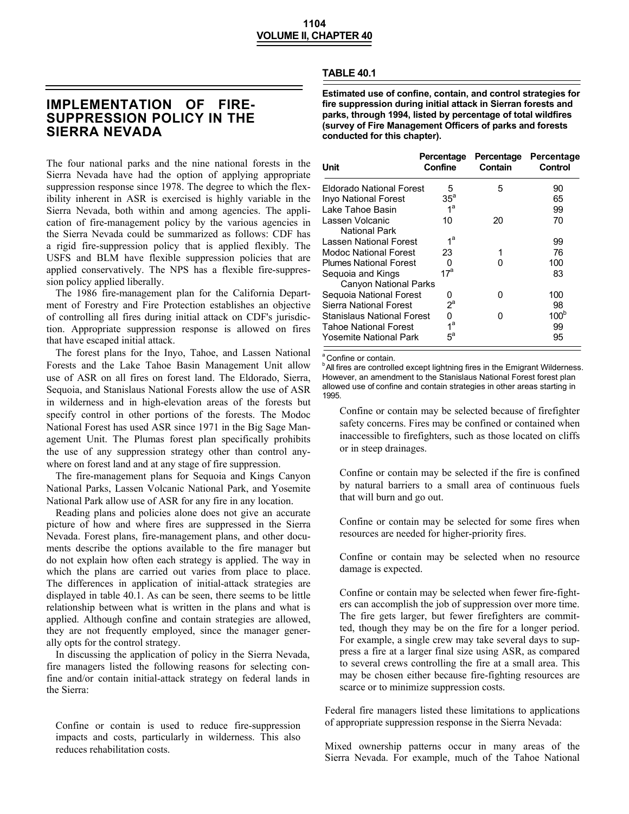#### **TABLE 40.1**

### **IMPLEMENTATION OF FIRE-SUPPRESSION POLICY IN THE SIERRA NEVADA**

The four national parks and the nine national forests in the Sierra Nevada have had the option of applying appropriate suppression response since 1978. The degree to which the flexibility inherent in ASR is exercised is highly variable in the Sierra Nevada, both within and among agencies. The application of fire-management policy by the various agencies in the Sierra Nevada could be summarized as follows: CDF has a rigid fire-suppression policy that is applied flexibly. The USFS and BLM have flexible suppression policies that are applied conservatively. The NPS has a flexible fire-suppression policy applied liberally.

The 1986 fire-management plan for the California Department of Forestry and Fire Protection establishes an objective of controlling all fires during initial attack on CDF's jurisdiction. Appropriate suppression response is allowed on fires that have escaped initial attack.

The forest plans for the Inyo, Tahoe, and Lassen National Forests and the Lake Tahoe Basin Management Unit allow use of ASR on all fires on forest land. The Eldorado, Sierra, Sequoia, and Stanislaus National Forests allow the use of ASR in wilderness and in high-elevation areas of the forests but specify control in other portions of the forests. The Modoc National Forest has used ASR since 1971 in the Big Sage Management Unit. The Plumas forest plan specifically prohibits the use of any suppression strategy other than control anywhere on forest land and at any stage of fire suppression.

The fire-management plans for Sequoia and Kings Canyon National Parks, Lassen Volcanic National Park, and Yosemite National Park allow use of ASR for any fire in any location.

Reading plans and policies alone does not give an accurate picture of how and where fires are suppressed in the Sierra Nevada. Forest plans, fire-management plans, and other documents describe the options available to the fire manager but do not explain how often each strategy is applied. The way in which the plans are carried out varies from place to place. The differences in application of initial-attack strategies are displayed in table 40.1. As can be seen, there seems to be little relationship between what is written in the plans and what is applied. Although confine and contain strategies are allowed, they are not frequently employed, since the manager generally opts for the control strategy.

In discussing the application of policy in the Sierra Nevada, fire managers listed the following reasons for selecting confine and/or contain initial-attack strategy on federal lands in the Sierra:

Confine or contain is used to reduce fire-suppression impacts and costs, particularly in wilderness. This also reduces rehabilitation costs.

**Estimated use of confine, contain, and control strategies for fire suppression during initial attack in Sierran forests and parks, through 1994, listed by percentage of total wildfires (survey of Fire Management Officers of parks and forests conducted for this chapter).** 

| Unit                              | Percentage<br>Confine | Percentage<br>Contain | Percentage<br>Control |
|-----------------------------------|-----------------------|-----------------------|-----------------------|
| Fldorado National Forest          | 5                     | 5                     | 90                    |
| <b>Inyo National Forest</b>       | $35^{\circ}$          |                       | 65                    |
| Lake Tahoe Basin                  | 1 <sup>a</sup>        |                       | 99                    |
| Lassen Volcanic                   | 10                    | 20                    | 70                    |
| <b>National Park</b>              |                       |                       |                       |
| Lassen National Forest            | 1 <sup>a</sup>        |                       | 99                    |
| Modoc National Forest             | 23                    |                       | 76                    |
| <b>Plumes National Forest</b>     | O                     | O                     | 100                   |
| Seguoia and Kings                 | $17^a$                |                       | 83                    |
| Canyon National Parks             |                       |                       |                       |
| Seguoia National Forest           | O                     | n                     | 100                   |
| Sierra National Forest            | $2^a$                 |                       | 98                    |
| <b>Stanislaus National Forest</b> | 0                     | n                     | 100 <sup>b</sup>      |
| Tahoe National Forest             | 1ª                    |                       | 99                    |
| Yosemite National Park            | $5^{\mathsf{a}}$      |                       | 95                    |

<sup>a</sup> Confine or contain.<br><sup>b</sup> All fires are controlled except lightning fires in the Emigrant Wilderness. However, an amendment to the Stanislaus National Forest forest plan allowed use of confine and contain strategies in other areas starting in 1995.

Confine or contain may be selected because of firefighter safety concerns. Fires may be confined or contained when inaccessible to firefighters, such as those located on cliffs or in steep drainages.

Confine or contain may be selected if the fire is confined by natural barriers to a small area of continuous fuels that will burn and go out.

Confine or contain may be selected for some fires when resources are needed for higher-priority fires.

Confine or contain may be selected when no resource damage is expected.

Confine or contain may be selected when fewer fire-fighters can accomplish the job of suppression over more time. The fire gets larger, but fewer firefighters are committed, though they may be on the fire for a longer period. For example, a single crew may take several days to suppress a fire at a larger final size using ASR, as compared to several crews controlling the fire at a small area. This may be chosen either because fire-fighting resources are scarce or to minimize suppression costs.

Federal fire managers listed these limitations to applications of appropriate suppression response in the Sierra Nevada:

Mixed ownership patterns occur in many areas of the Sierra Nevada. For example, much of the Tahoe National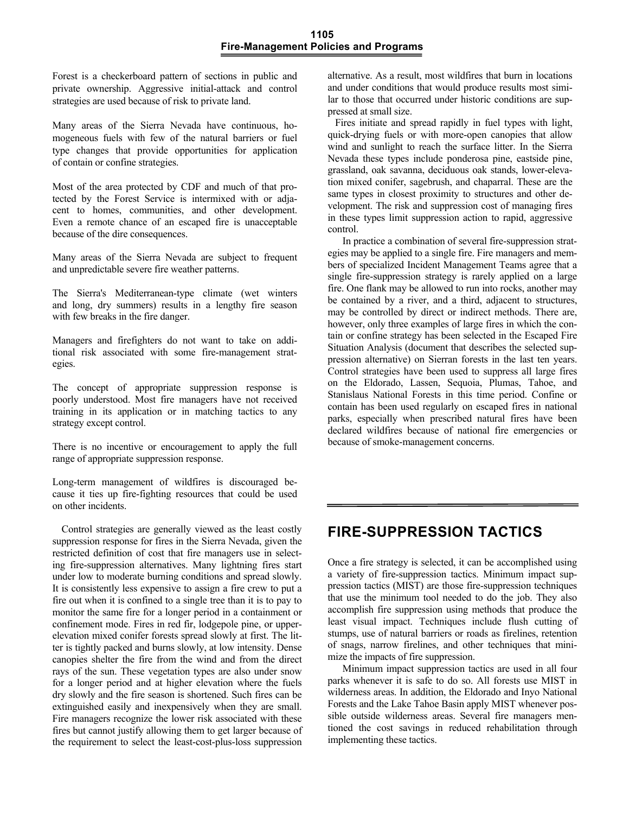Forest is a checkerboard pattern of sections in public and private ownership. Aggressive initial-attack and control strategies are used because of risk to private land.

Many areas of the Sierra Nevada have continuous, homogeneous fuels with few of the natural barriers or fuel type changes that provide opportunities for application of contain or confine strategies.

Most of the area protected by CDF and much of that protected by the Forest Service is intermixed with or adjacent to homes, communities, and other development. Even a remote chance of an escaped fire is unacceptable because of the dire consequences.

Many areas of the Sierra Nevada are subject to frequent and unpredictable severe fire weather patterns.

The Sierra's Mediterranean-type climate (wet winters and long, dry summers) results in a lengthy fire season with few breaks in the fire danger.

Managers and firefighters do not want to take on additional risk associated with some fire-management strategies.

The concept of appropriate suppression response is poorly understood. Most fire managers have not received training in its application or in matching tactics to any strategy except control.

There is no incentive or encouragement to apply the full range of appropriate suppression response.

Long-term management of wildfires is discouraged because it ties up fire-fighting resources that could be used on other incidents.

Control strategies are generally viewed as the least costly suppression response for fires in the Sierra Nevada, given the restricted definition of cost that fire managers use in selecting fire-suppression alternatives. Many lightning fires start under low to moderate burning conditions and spread slowly. It is consistently less expensive to assign a fire crew to put a fire out when it is confined to a single tree than it is to pay to monitor the same fire for a longer period in a containment or confinement mode. Fires in red fir, lodgepole pine, or upperelevation mixed conifer forests spread slowly at first. The litter is tightly packed and burns slowly, at low intensity. Dense canopies shelter the fire from the wind and from the direct rays of the sun. These vegetation types are also under snow for a longer period and at higher elevation where the fuels dry slowly and the fire season is shortened. Such fires can be extinguished easily and inexpensively when they are small. Fire managers recognize the lower risk associated with these fires but cannot justify allowing them to get larger because of the requirement to select the least-cost-plus-loss suppression

alternative. As a result, most wildfires that burn in locations and under conditions that would produce results most similar to those that occurred under historic conditions are suppressed at small size.

Fires initiate and spread rapidly in fuel types with light, quick-drying fuels or with more-open canopies that allow wind and sunlight to reach the surface litter. In the Sierra Nevada these types include ponderosa pine, eastside pine, grassland, oak savanna, deciduous oak stands, lower-elevation mixed conifer, sagebrush, and chaparral. These are the same types in closest proximity to structures and other development. The risk and suppression cost of managing fires in these types limit suppression action to rapid, aggressive control.

In practice a combination of several fire-suppression strategies may be applied to a single fire. Fire managers and members of specialized Incident Management Teams agree that a single fire-suppression strategy is rarely applied on a large fire. One flank may be allowed to run into rocks, another may be contained by a river, and a third, adjacent to structures, may be controlled by direct or indirect methods. There are, however, only three examples of large fires in which the contain or confine strategy has been selected in the Escaped Fire Situation Analysis (document that describes the selected suppression alternative) on Sierran forests in the last ten years. Control strategies have been used to suppress all large fires on the Eldorado, Lassen, Sequoia, Plumas, Tahoe, and Stanislaus National Forests in this time period. Confine or contain has been used regularly on escaped fires in national parks, especially when prescribed natural fires have been declared wildfires because of national fire emergencies or because of smoke-management concerns.

### **FIRE-SUPPRESSION TACTICS**

Once a fire strategy is selected, it can be accomplished using a variety of fire-suppression tactics. Minimum impact suppression tactics (MIST) are those fire-suppression techniques that use the minimum tool needed to do the job. They also accomplish fire suppression using methods that produce the least visual impact. Techniques include flush cutting of stumps, use of natural barriers or roads as firelines, retention of snags, narrow firelines, and other techniques that minimize the impacts of fire suppression.

Minimum impact suppression tactics are used in all four parks whenever it is safe to do so. All forests use MIST in wilderness areas. In addition, the Eldorado and Inyo National Forests and the Lake Tahoe Basin apply MIST whenever possible outside wilderness areas. Several fire managers mentioned the cost savings in reduced rehabilitation through implementing these tactics.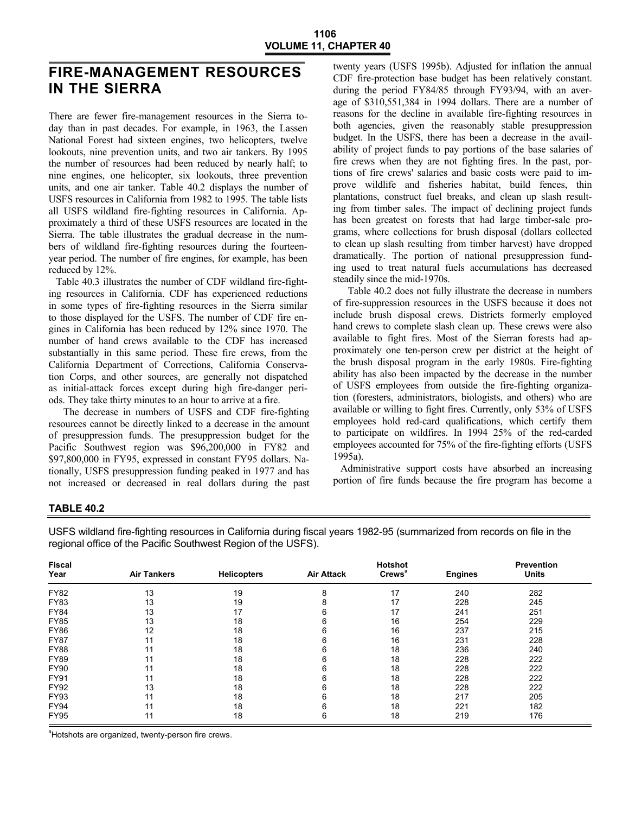## **FIRE-MANAGEMENT RESOURCES IN THE SIERRA**

There are fewer fire-management resources in the Sierra today than in past decades. For example, in 1963, the Lassen National Forest had sixteen engines, two helicopters, twelve lookouts, nine prevention units, and two air tankers. By 1995 the number of resources had been reduced by nearly half; to nine engines, one helicopter, six lookouts, three prevention units, and one air tanker. Table 40.2 displays the number of USFS resources in California from 1982 to 1995. The table lists all USFS wildland fire-fighting resources in California. Approximately a third of these USFS resources are located in the Sierra. The table illustrates the gradual decrease in the numbers of wildland fire-fighting resources during the fourteenyear period. The number of fire engines, for example, has been reduced by 12%.

Table 40.3 illustrates the number of CDF wildland fire-fighting resources in California. CDF has experienced reductions in some types of fire-fighting resources in the Sierra similar to those displayed for the USFS. The number of CDF fire engines in California has been reduced by 12% since 1970. The number of hand crews available to the CDF has increased substantially in this same period. These fire crews, from the California Department of Corrections, California Conservation Corps, and other sources, are generally not dispatched as initial-attack forces except during high fire-danger periods. They take thirty minutes to an hour to arrive at a fire.

The decrease in numbers of USFS and CDF fire-fighting resources cannot be directly linked to a decrease in the amount of presuppression funds. The presuppression budget for the Pacific Southwest region was \$96,200,000 in FY82 and \$97,800,000 in FY95, expressed in constant FY95 dollars. Nationally, USFS presuppression funding peaked in 1977 and has not increased or decreased in real dollars during the past twenty years (USFS 1995b). Adjusted for inflation the annual CDF fire-protection base budget has been relatively constant. during the period FY84/85 through FY93/94, with an average of \$310,551,384 in 1994 dollars. There are a number of reasons for the decline in available fire-fighting resources in both agencies, given the reasonably stable presuppression budget. In the USFS, there has been a decrease in the availability of project funds to pay portions of the base salaries of fire crews when they are not fighting fires. In the past, portions of fire crews' salaries and basic costs were paid to improve wildlife and fisheries habitat, build fences, thin plantations, construct fuel breaks, and clean up slash resulting from timber sales. The impact of declining project funds has been greatest on forests that had large timber-sale programs, where collections for brush disposal (dollars collected to clean up slash resulting from timber harvest) have dropped dramatically. The portion of national presuppression funding used to treat natural fuels accumulations has decreased steadily since the mid-1970s.

Table 40.2 does not fully illustrate the decrease in numbers of fire-suppression resources in the USFS because it does not include brush disposal crews. Districts formerly employed hand crews to complete slash clean up. These crews were also available to fight fires. Most of the Sierran forests had approximately one ten-person crew per district at the height of the brush disposal program in the early 1980s. Fire-fighting ability has also been impacted by the decrease in the number of USFS employees from outside the fire-fighting organization (foresters, administrators, biologists, and others) who are available or willing to fight fires. Currently, only 53% of USFS employees hold red-card qualifications, which certify them to participate on wildfires. In 1994 25% of the red-carded employees accounted for 75% of the fire-fighting efforts (USFS 1995a).

Administrative support costs have absorbed an increasing portion of fire funds because the fire program has become a

#### **TABLE 40.2**

USFS wildland fire-fighting resources in California during fiscal years 1982-95 (summarized from records on file in the regional office of the Pacific Southwest Region of the USFS).

| <b>Fiscal</b><br>Year | <b>Air Tankers</b> | <b>Helicopters</b> | <b>Air Attack</b> | <b>Hotshot</b><br><b>Crews<sup>a</sup></b> | <b>Engines</b> | <b>Prevention</b><br><b>Units</b> |
|-----------------------|--------------------|--------------------|-------------------|--------------------------------------------|----------------|-----------------------------------|
| <b>FY82</b>           | 13                 | 19                 | 8                 | 17                                         | 240            | 282                               |
| <b>FY83</b>           | 13                 | 19                 | ሾ                 | 17                                         | 228            | 245                               |
| <b>FY84</b>           | 13                 | 17                 | n                 | 17                                         | 241            | 251                               |
| <b>FY85</b>           | 13                 | 18                 |                   | 16                                         | 254            | 229                               |
| <b>FY86</b>           | 12                 | 18                 | n                 | 16                                         | 237            | 215                               |
| <b>FY87</b>           |                    | 18                 | n                 | 16                                         | 231            | 228                               |
| <b>FY88</b>           |                    | 18                 | 6                 | 18                                         | 236            | 240                               |
| <b>FY89</b>           |                    | 18                 | 6                 | 18                                         | 228            | 222                               |
| <b>FY90</b>           |                    | 18                 | 6                 | 18                                         | 228            | 222                               |
| <b>FY91</b>           |                    | 18                 |                   | 18                                         | 228            | 222                               |
| <b>FY92</b>           | 13                 | 18                 |                   | 18                                         | 228            | 222                               |
| <b>FY93</b>           |                    | 18                 |                   | 18                                         | 217            | 205                               |
| <b>FY94</b>           |                    | 18                 |                   | 18                                         | 221            | 182                               |
| <b>FY95</b>           |                    | 18                 | 6                 | 18                                         | 219            | 176                               |

<sup>a</sup>Hotshots are organized, twenty-person fire crews.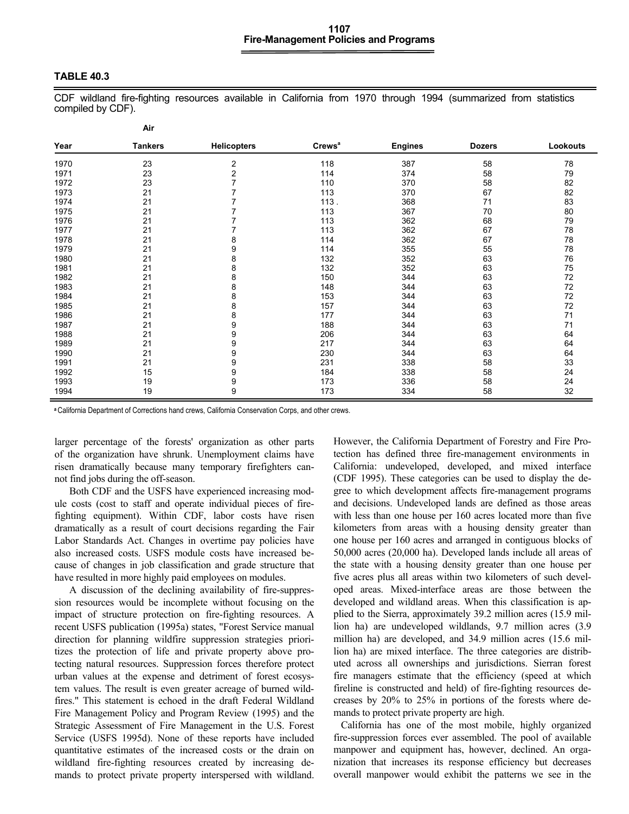#### **1107 Fire-Management Policies and Programs**

#### **TABLE 40.3**

**Air**

CDF wildland fire-fighting resources available in California from 1970 through 1994 (summarized from statistics compiled by CDF).

| Year | <b>Tankers</b> | <b>Helicopters</b>      | <b>Crews<sup>a</sup></b> | <b>Engines</b> | <b>Dozers</b> | <b>Lookouts</b> |
|------|----------------|-------------------------|--------------------------|----------------|---------------|-----------------|
|      |                |                         |                          |                |               |                 |
| 1970 | 23             | 2                       | 118                      | 387            | 58            | 78              |
| 1971 | 23             | $\overline{\mathbf{c}}$ | 114                      | 374            | 58            | 79              |
| 1972 | 23             | 7                       | 110                      | 370            | 58            | 82              |
| 1973 | 21             | 7                       | 113                      | 370            | 67            | 82              |
| 1974 | 21             | 7                       | 113.                     | 368            | 71            | 83              |
| 1975 | 21             | 7                       | 113                      | 367            | 70            | 80              |
| 1976 | 21             |                         | 113                      | 362            | 68            | 79              |
| 1977 | 21             | 7                       | 113                      | 362            | 67            | 78              |
| 1978 | 21             | 8                       | 114                      | 362            | 67            | 78              |
| 1979 | 21             | 9                       | 114                      | 355            | 55            | 78              |
| 1980 | 21             | 8                       | 132                      | 352            | 63            | 76              |
| 1981 | 21             | 8                       | 132                      | 352            | 63            | 75              |
| 1982 | 21             | 8                       | 150                      | 344            | 63            | 72              |
| 1983 | 21             | 8                       | 148                      | 344            | 63            | 72              |
| 1984 | 21             | 8                       | 153                      | 344            | 63            | 72              |
| 1985 | 21             | 8                       | 157                      | 344            | 63            | 72              |
| 1986 | 21             | 8                       | 177                      | 344            | 63            | 71              |
| 1987 | 21             | 9                       | 188                      | 344            | 63            | 71              |
| 1988 | 21             | 9                       | 206                      | 344            | 63            | 64              |
| 1989 | 21             | 9                       | 217                      | 344            | 63            | 64              |
| 1990 | 21             | 9                       | 230                      | 344            | 63            | 64              |
| 1991 | 21             | 9                       | 231                      | 338            | 58            | 33              |
| 1992 | 15             | 9                       | 184                      | 338            | 58            | 24              |
| 1993 | 19             | 9                       | 173                      | 336            | 58            | 24              |
| 1994 | 19             | 9                       | 173                      | 334            | 58            | 32              |

**<sup>a</sup>**California Department of Corrections hand crews, California Conservation Corps, and other crews.

larger percentage of the forests' organization as other parts of the organization have shrunk. Unemployment claims have risen dramatically because many temporary firefighters cannot find jobs during the off-season.

Both CDF and the USFS have experienced increasing module costs (cost to staff and operate individual pieces of firefighting equipment). Within CDF, labor costs have risen dramatically as a result of court decisions regarding the Fair Labor Standards Act. Changes in overtime pay policies have also increased costs. USFS module costs have increased because of changes in job classification and grade structure that have resulted in more highly paid employees on modules.

A discussion of the declining availability of fire-suppression resources would be incomplete without focusing on the impact of structure protection on fire-fighting resources. A recent USFS publication (1995a) states, "Forest Service manual direction for planning wildfire suppression strategies prioritizes the protection of life and private property above protecting natural resources. Suppression forces therefore protect urban values at the expense and detriment of forest ecosystem values. The result is even greater acreage of burned wildfires." This statement is echoed in the draft Federal Wildland Fire Management Policy and Program Review (1995) and the Strategic Assessment of Fire Management in the U.S. Forest Service (USFS 1995d). None of these reports have included quantitative estimates of the increased costs or the drain on wildland fire-fighting resources created by increasing demands to protect private property interspersed with wildland.

However, the California Department of Forestry and Fire Protection has defined three fire-management environments in California: undeveloped, developed, and mixed interface (CDF 1995). These categories can be used to display the degree to which development affects fire-management programs and decisions. Undeveloped lands are defined as those areas with less than one house per 160 acres located more than five kilometers from areas with a housing density greater than one house per 160 acres and arranged in contiguous blocks of 50,000 acres (20,000 ha). Developed lands include all areas of the state with a housing density greater than one house per five acres plus all areas within two kilometers of such developed areas. Mixed-interface areas are those between the developed and wildland areas. When this classification is applied to the Sierra, approximately 39.2 million acres (15.9 million ha) are undeveloped wildlands, 9.7 million acres (3.9 million ha) are developed, and 34.9 million acres (15.6 million ha) are mixed interface. The three categories are distributed across all ownerships and jurisdictions. Sierran forest fire managers estimate that the efficiency (speed at which fireline is constructed and held) of fire-fighting resources decreases by 20% to 25% in portions of the forests where demands to protect private property are high.

California has one of the most mobile, highly organized fire-suppression forces ever assembled. The pool of available manpower and equipment has, however, declined. An organization that increases its response efficiency but decreases overall manpower would exhibit the patterns we see in the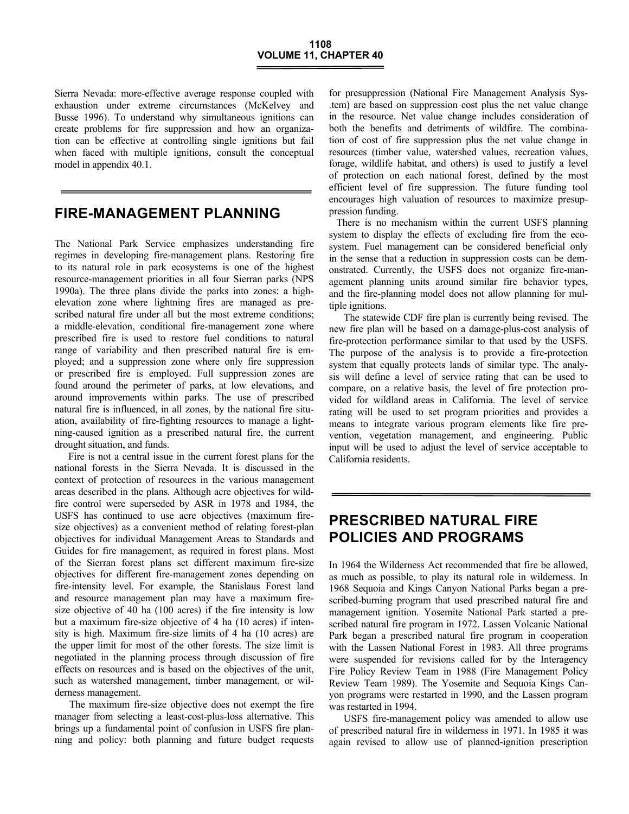Sierra Nevada: more-effective average response coupled with exhaustion under extreme circumstances (McKelvey and Busse 1996). To understand why simultaneous ignitions can create problems for fire suppression and how an organization can be effective at controlling single ignitions but fail when faced with multiple ignitions, consult the conceptual model in appendix 40.1.

### **FIRE-MANAGEMENT PLANNING**

The National Park Service emphasizes understanding fire regimes in developing fire-management plans. Restoring fire to its natural role in park ecosystems is one of the highest resource-management priorities in all four Sierran parks (NPS 1990a). The three plans divide the parks into zones: a highelevation zone where lightning fires are managed as prescribed natural fire under all but the most extreme conditions; a middle-elevation, conditional fire-management zone where prescribed fire is used to restore fuel conditions to natural range of variability and then prescribed natural fire is employed; and a suppression zone where only fire suppression or prescribed fire is employed. Full suppression zones are found around the perimeter of parks, at low elevations, and around improvements within parks. The use of prescribed natural fire is influenced, in all zones, by the national fire situation, availability of fire-fighting resources to manage a lightning-caused ignition as a prescribed natural fire, the current drought situation, and funds.

Fire is not a central issue in the current forest plans for the national forests in the Sierra Nevada. It is discussed in the context of protection of resources in the various management areas described in the plans. Although acre objectives for wildfire control were superseded by ASR in 1978 and 1984, the USFS has continued to use acre objectives (maximum firesize objectives) as a convenient method of relating forest-plan objectives for individual Management Areas to Standards and Guides for fire management, as required in forest plans. Most of the Sierran forest plans set different maximum fire-size objectives for different fire-management zones depending on fire-intensity level. For example, the Stanislaus Forest land and resource management plan may have a maximum firesize objective of 40 ha (100 acres) if the fire intensity is low but a maximum fire-size objective of 4 ha (10 acres) if intensity is high. Maximum fire-size limits of 4 ha (10 acres) are the upper limit for most of the other forests. The size limit is negotiated in the planning process through discussion of fire effects on resources and is based on the objectives of the unit, such as watershed management, timber management, or wilderness management.

The maximum fire-size objective does not exempt the fire manager from selecting a least-cost-plus-loss alternative. This brings up a fundamental point of confusion in USFS fire planning and policy: both planning and future budget requests

for presuppression (National Fire Management Analysis Sys- .tem) are based on suppression cost plus the net value change in the resource. Net value change includes consideration of both the benefits and detriments of wildfire. The combination of cost of fire suppression plus the net value change in resources (timber value, watershed values, recreation values, forage, wildlife habitat, and others) is used to justify a level of protection on each national forest, defined by the most efficient level of fire suppression. The future funding tool encourages high valuation of resources to maximize presuppression funding.

There is no mechanism within the current USFS planning system to display the effects of excluding fire from the ecosystem. Fuel management can be considered beneficial only in the sense that a reduction in suppression costs can be demonstrated. Currently, the USFS does not organize fire-management planning units around similar fire behavior types, and the fire-planning model does not allow planning for multiple ignitions.

The statewide CDF fire plan is currently being revised. The new fire plan will be based on a damage-plus-cost analysis of fire-protection performance similar to that used by the USFS. The purpose of the analysis is to provide a fire-protection system that equally protects lands of similar type. The analysis will define a level of service rating that can be used to compare, on a relative basis, the level of fire protection provided for wildland areas in California. The level of service rating will be used to set program priorities and provides a means to integrate various program elements like fire prevention, vegetation management, and engineering. Public input will be used to adjust the level of service acceptable to California residents.

### **PRESCRIBED NATURAL FIRE POLICIES AND PROGRAMS**

In 1964 the Wilderness Act recommended that fire be allowed, as much as possible, to play its natural role in wilderness. In 1968 Sequoia and Kings Canyon National Parks began a prescribed-burning program that used prescribed natural fire and management ignition. Yosemite National Park started a prescribed natural fire program in 1972. Lassen Volcanic National Park began a prescribed natural fire program in cooperation with the Lassen National Forest in 1983. All three programs were suspended for revisions called for by the Interagency Fire Policy Review Team in 1988 (Fire Management Policy Review Team 1989). The Yosemite and Sequoia Kings Canyon programs were restarted in 1990, and the Lassen program was restarted in 1994.

USFS fire-management policy was amended to allow use of prescribed natural fire in wilderness in 1971. In 1985 it was again revised to allow use of planned-ignition prescription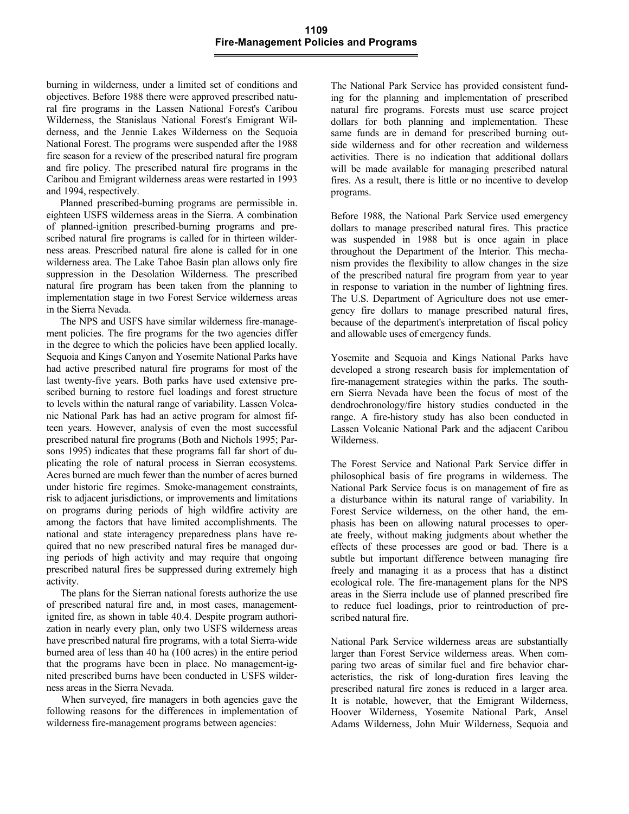burning in wilderness, under a limited set of conditions and objectives. Before 1988 there were approved prescribed natural fire programs in the Lassen National Forest's Caribou Wilderness, the Stanislaus National Forest's Emigrant Wilderness, and the Jennie Lakes Wilderness on the Sequoia National Forest. The programs were suspended after the 1988 fire season for a review of the prescribed natural fire program and fire policy. The prescribed natural fire programs in the Caribou and Emigrant wilderness areas were restarted in 1993 and 1994, respectively.

Planned prescribed-burning programs are permissible in. eighteen USFS wilderness areas in the Sierra. A combination of planned-ignition prescribed-burning programs and prescribed natural fire programs is called for in thirteen wilderness areas. Prescribed natural fire alone is called for in one wilderness area. The Lake Tahoe Basin plan allows only fire suppression in the Desolation Wilderness. The prescribed natural fire program has been taken from the planning to implementation stage in two Forest Service wilderness areas in the Sierra Nevada.

The NPS and USFS have similar wilderness fire-management policies. The fire programs for the two agencies differ in the degree to which the policies have been applied locally. Sequoia and Kings Canyon and Yosemite National Parks have had active prescribed natural fire programs for most of the last twenty-five years. Both parks have used extensive prescribed burning to restore fuel loadings and forest structure to levels within the natural range of variability. Lassen Volcanic National Park has had an active program for almost fifteen years. However, analysis of even the most successful prescribed natural fire programs (Both and Nichols 1995; Parsons 1995) indicates that these programs fall far short of duplicating the role of natural process in Sierran ecosystems. Acres burned are much fewer than the number of acres burned under historic fire regimes. Smoke-management constraints, risk to adjacent jurisdictions, or improvements and limitations on programs during periods of high wildfire activity are among the factors that have limited accomplishments. The national and state interagency preparedness plans have required that no new prescribed natural fires be managed during periods of high activity and may require that ongoing prescribed natural fires be suppressed during extremely high activity.

The plans for the Sierran national forests authorize the use of prescribed natural fire and, in most cases, managementignited fire, as shown in table 40.4. Despite program authorization in nearly every plan, only two USFS wilderness areas have prescribed natural fire programs, with a total Sierra-wide burned area of less than 40 ha (100 acres) in the entire period that the programs have been in place. No management-ignited prescribed burns have been conducted in USFS wilderness areas in the Sierra Nevada.

When surveyed, fire managers in both agencies gave the following reasons for the differences in implementation of wilderness fire-management programs between agencies:

The National Park Service has provided consistent funding for the planning and implementation of prescribed natural fire programs. Forests must use scarce project dollars for both planning and implementation. These same funds are in demand for prescribed burning outside wilderness and for other recreation and wilderness activities. There is no indication that additional dollars will be made available for managing prescribed natural fires. As a result, there is little or no incentive to develop programs.

Before 1988, the National Park Service used emergency dollars to manage prescribed natural fires. This practice was suspended in 1988 but is once again in place throughout the Department of the Interior. This mechanism provides the flexibility to allow changes in the size of the prescribed natural fire program from year to year in response to variation in the number of lightning fires. The U.S. Department of Agriculture does not use emergency fire dollars to manage prescribed natural fires, because of the department's interpretation of fiscal policy and allowable uses of emergency funds.

Yosemite and Sequoia and Kings National Parks have developed a strong research basis for implementation of fire-management strategies within the parks. The southern Sierra Nevada have been the focus of most of the dendrochronology/fire history studies conducted in the range. A fire-history study has also been conducted in Lassen Volcanic National Park and the adjacent Caribou Wilderness.

The Forest Service and National Park Service differ in philosophical basis of fire programs in wilderness. The National Park Service focus is on management of fire as a disturbance within its natural range of variability. In Forest Service wilderness, on the other hand, the emphasis has been on allowing natural processes to operate freely, without making judgments about whether the effects of these processes are good or bad. There is a subtle but important difference between managing fire freely and managing it as a process that has a distinct ecological role. The fire-management plans for the NPS areas in the Sierra include use of planned prescribed fire to reduce fuel loadings, prior to reintroduction of prescribed natural fire.

National Park Service wilderness areas are substantially larger than Forest Service wilderness areas. When comparing two areas of similar fuel and fire behavior characteristics, the risk of long-duration fires leaving the prescribed natural fire zones is reduced in a larger area. It is notable, however, that the Emigrant Wilderness, Hoover Wilderness, Yosemite National Park, Ansel Adams Wilderness, John Muir Wilderness, Sequoia and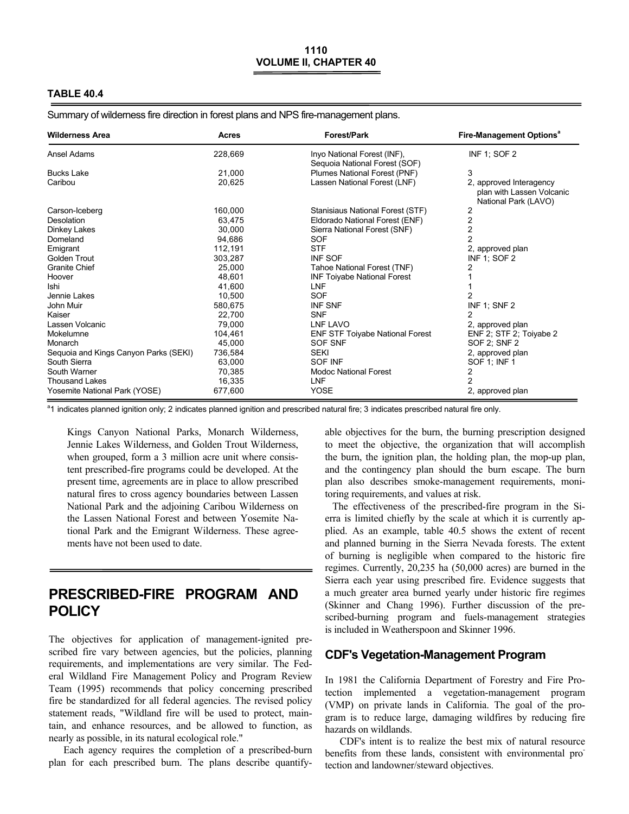#### **1110 VOLUME II, CHAPTER 40**

#### **TABLE 40.4**

Summary of wilderness fire direction in forest plans and NPS fire-management plans.

| <b>Wilderness Area</b>                | <b>Acres</b> | Forest/Park                                                  | Fire-Management Options <sup>a</sup>                                         |
|---------------------------------------|--------------|--------------------------------------------------------------|------------------------------------------------------------------------------|
| Ansel Adams                           | 228,669      | Inyo National Forest (INF),<br>Sequoia National Forest (SOF) | <b>INF 1: SOF 2</b>                                                          |
| <b>Bucks Lake</b>                     | 21,000       | Plumes National Forest (PNF)                                 | 3                                                                            |
| Caribou                               | 20,625       | Lassen National Forest (LNF)                                 | 2, approved Interagency<br>plan with Lassen Volcanic<br>National Park (LAVO) |
| Carson-Iceberg                        | 160,000      | Stanisiaus National Forest (STF)                             | 2                                                                            |
| Desolation                            | 63.475       | Eldorado National Forest (ENF)                               | 2                                                                            |
| Dinkey Lakes                          | 30,000       | Sierra National Forest (SNF)                                 | $\overline{c}$                                                               |
| Domeland                              | 94,686       | SOF                                                          |                                                                              |
| Emigrant                              | 112,191      | <b>STF</b>                                                   | 2, approved plan                                                             |
| Golden Trout                          | 303,287      | INF SOF                                                      | <b>INF 1; SOF 2</b>                                                          |
| <b>Granite Chief</b>                  | 25,000       | Tahoe National Forest (TNF)                                  |                                                                              |
| Hoover                                | 48,601       | <b>INF Toiyabe National Forest</b>                           |                                                                              |
| Ishi                                  | 41,600       | LNF                                                          |                                                                              |
| Jennie Lakes                          | 10,500       | <b>SOF</b>                                                   | 2                                                                            |
| John Muir                             | 580,675      | <b>INF SNF</b>                                               | <b>INF 1; SNF 2</b>                                                          |
| Kaiser                                | 22,700       | <b>SNF</b>                                                   | 2                                                                            |
| Lassen Volcanic                       | 79,000       | LNF LAVO                                                     | 2, approved plan                                                             |
| Mokelumne                             | 104,461      | <b>ENF STF Toiyabe National Forest</b>                       | ENF 2; STF 2; Toiyabe 2                                                      |
| Monarch                               | 45.000       | <b>SOF SNF</b>                                               | SOF 2; SNF 2                                                                 |
| Sequoia and Kings Canyon Parks (SEKI) | 736,584      | <b>SEKI</b>                                                  | 2, approved plan                                                             |
| South Sierra                          | 63,000       | <b>SOF INF</b>                                               | SOF 1; INF 1                                                                 |
| South Warner                          | 70,385       | <b>Modoc National Forest</b>                                 | 2                                                                            |
| <b>Thousand Lakes</b>                 | 16,335       | LNF                                                          | 2                                                                            |
| Yosemite National Park (YOSE)         | 677,600      | <b>YOSE</b>                                                  | 2, approved plan                                                             |

<sup>a</sup>1 indicates planned ignition only; 2 indicates planned ignition and prescribed natural fire; 3 indicates prescribed natural fire only.

Kings Canyon National Parks, Monarch Wilderness, Jennie Lakes Wilderness, and Golden Trout Wilderness, when grouped, form a 3 million acre unit where consistent prescribed-fire programs could be developed. At the present time, agreements are in place to allow prescribed natural fires to cross agency boundaries between Lassen National Park and the adjoining Caribou Wilderness on the Lassen National Forest and between Yosemite National Park and the Emigrant Wilderness. These agreements have not been used to date.

### **PRESCRIBED-FIRE PROGRAM AND POLICY**

The objectives for application of management-ignited prescribed fire vary between agencies, but the policies, planning requirements, and implementations are very similar. The Federal Wildland Fire Management Policy and Program Review Team (1995) recommends that policy concerning prescribed fire be standardized for all federal agencies. The revised policy statement reads, "Wildland fire will be used to protect, maintain, and enhance resources, and be allowed to function, as nearly as possible, in its natural ecological role."

Each agency requires the completion of a prescribed-burn plan for each prescribed burn. The plans describe quantifyable objectives for the burn, the burning prescription designed to meet the objective, the organization that will accomplish the burn, the ignition plan, the holding plan, the mop-up plan, and the contingency plan should the burn escape. The burn plan also describes smoke-management requirements, monitoring requirements, and values at risk.

The effectiveness of the prescribed-fire program in the Sierra is limited chiefly by the scale at which it is currently applied. As an example, table 40.5 shows the extent of recent and planned burning in the Sierra Nevada forests. The extent of burning is negligible when compared to the historic fire regimes. Currently, 20,235 ha (50,000 acres) are burned in the Sierra each year using prescribed fire. Evidence suggests that a much greater area burned yearly under historic fire regimes (Skinner and Chang 1996). Further discussion of the prescribed-burning program and fuels-management strategies is included in Weatherspoon and Skinner 1996.

#### **CDF's Vegetation-Management Program**

In 1981 the California Department of Forestry and Fire Protection implemented a vegetation-management program (VMP) on private lands in California. The goal of the program is to reduce large, damaging wildfires by reducing fire hazards on wildlands.

CDF's intent is to realize the best mix of natural resource benefits from these lands, consistent with environmental protection and landowner/steward objectives.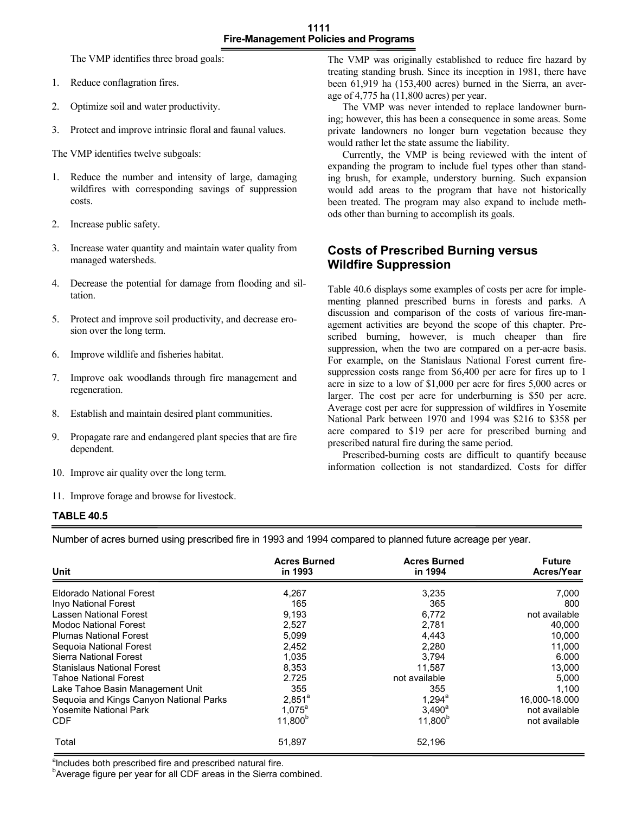The VMP identifies three broad goals:

- 1. Reduce conflagration fires.
- 2. Optimize soil and water productivity.
- 3. Protect and improve intrinsic floral and faunal values.

The VMP identifies twelve subgoals:

- 1. Reduce the number and intensity of large, damaging wildfires with corresponding savings of suppression costs.
- 2. Increase public safety.
- 3. Increase water quantity and maintain water quality from managed watersheds.
- 4. Decrease the potential for damage from flooding and siltation.
- 5. Protect and improve soil productivity, and decrease erosion over the long term.
- 6. Improve wildlife and fisheries habitat.
- 7. Improve oak woodlands through fire management and regeneration.
- 8. Establish and maintain desired plant communities.
- 9. Propagate rare and endangered plant species that are fire dependent.
- 10. Improve air quality over the long term.
- 11. Improve forage and browse for livestock.

**TABLE 40.5** 

The VMP was originally established to reduce fire hazard by treating standing brush. Since its inception in 1981, there have been 61,919 ha (153,400 acres) burned in the Sierra, an average of 4,775 ha (11,800 acres) per year.

The VMP was never intended to replace landowner burning; however, this has been a consequence in some areas. Some private landowners no longer burn vegetation because they would rather let the state assume the liability.

Currently, the VMP is being reviewed with the intent of expanding the program to include fuel types other than standing brush, for example, understory burning. Such expansion would add areas to the program that have not historically been treated. The program may also expand to include methods other than burning to accomplish its goals.

### **Costs of Prescribed Burning versus Wildfire Suppression**

Table 40.6 displays some examples of costs per acre for implementing planned prescribed burns in forests and parks. A discussion and comparison of the costs of various fire-management activities are beyond the scope of this chapter. Prescribed burning, however, is much cheaper than fire suppression, when the two are compared on a per-acre basis. For example, on the Stanislaus National Forest current firesuppression costs range from \$6,400 per acre for fires up to 1 acre in size to a low of \$1,000 per acre for fires 5,000 acres or larger. The cost per acre for underburning is \$50 per acre. Average cost per acre for suppression of wildfires in Yosemite National Park between 1970 and 1994 was \$216 to \$358 per acre compared to \$19 per acre for prescribed burning and prescribed natural fire during the same period.

Prescribed-burning costs are difficult to quantify because information collection is not standardized. Costs for differ

Number of acres burned using prescribed fire in 1993 and 1994 compared to planned future acreage per year.

| Unit                                    | <b>Acres Burned</b><br>in 1993 | <b>Acres Burned</b><br>in 1994 | <b>Future</b><br>Acres/Year |
|-----------------------------------------|--------------------------------|--------------------------------|-----------------------------|
| Eldorado National Forest                | 4,267                          | 3,235                          | 7.000                       |
| <b>Invo National Forest</b>             | 165                            | 365                            | 800                         |
| Lassen National Forest                  | 9,193                          | 6,772                          | not available               |
| Modoc National Forest                   | 2,527                          | 2,781                          | 40,000                      |
| <b>Plumas National Forest</b>           | 5,099                          | 4,443                          | 10,000                      |
| Seguoia National Forest                 | 2,452                          | 2,280                          | 11,000                      |
| Sierra National Forest                  | 1,035                          | 3.794                          | 6.000                       |
| Stanislaus National Forest              | 8,353                          | 11,587                         | 13,000                      |
| Tahoe National Forest                   | 2.725                          | not available                  | 5,000                       |
| Lake Tahoe Basin Management Unit        | 355                            | 355                            | 1,100                       |
| Sequoia and Kings Canyon National Parks | $2,851^a$                      | $1,294^a$                      | 16,000-18.000               |
| <b>Yosemite National Park</b>           | $1,075^a$                      | $3,490^a$                      | not available               |
| <b>CDF</b>                              | $11,800^{b}$                   | $11,800^{b}$                   | not available               |
| Total                                   | 51,897                         | 52,196                         |                             |

<sup>a</sup>lncludes both prescribed fire and prescribed natural fire.<br>**bAugrage figure per user for all CDF** areas in the Sierre of

<sup>b</sup>Average figure per year for all CDF areas in the Sierra combined.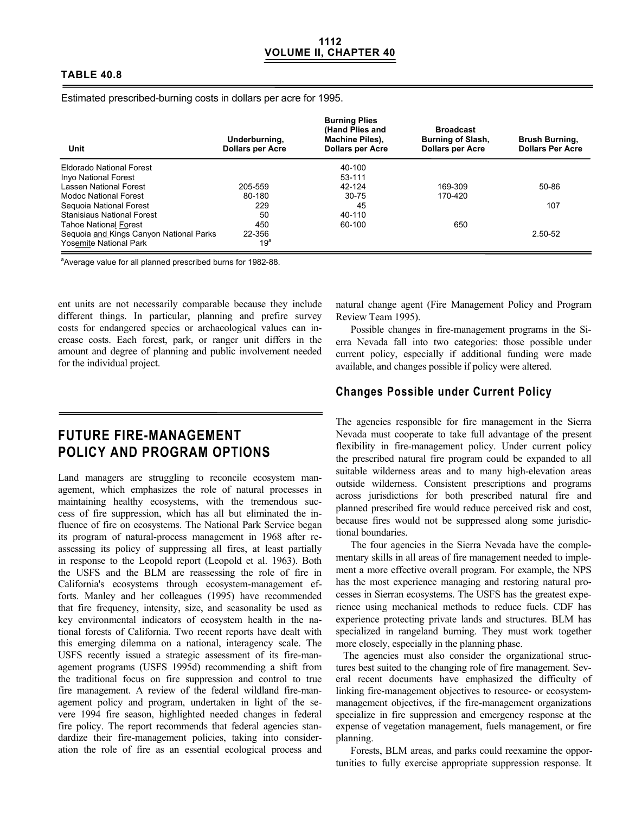#### **TABLE 40.8**

Estimated prescribed-burning costs in dollars per acre for 1995.

| Unit                                    | Underburning,<br><b>Dollars per Acre</b> | <b>Burning Plies</b><br>(Hand Plies and<br>Machine Piles),<br><b>Dollars per Acre</b> | <b>Broadcast</b><br><b>Burning of Slash,</b><br><b>Dollars per Acre</b> | Brush Burning,<br><b>Dollars Per Acre</b> |
|-----------------------------------------|------------------------------------------|---------------------------------------------------------------------------------------|-------------------------------------------------------------------------|-------------------------------------------|
| Eldorado National Forest                |                                          | 40-100                                                                                |                                                                         |                                           |
| <b>Invo National Forest</b>             |                                          | 53-111                                                                                |                                                                         |                                           |
| Lassen National Forest                  | 205-559                                  | 42-124                                                                                | 169-309                                                                 | 50-86                                     |
| Modoc National Forest                   | 80-180                                   | $30 - 75$                                                                             | 170-420                                                                 |                                           |
| Seguoia National Forest                 | 229                                      | 45                                                                                    |                                                                         | 107                                       |
| Stanisiaus National Forest              | 50                                       | 40-110                                                                                |                                                                         |                                           |
| <b>Tahoe National Forest</b>            | 450                                      | 60-100                                                                                | 650                                                                     |                                           |
| Sequoia and Kings Canyon National Parks | 22-356                                   |                                                                                       |                                                                         | 2.50-52                                   |
| <b>Yosemite National Park</b>           | 19 <sup>a</sup>                          |                                                                                       |                                                                         |                                           |

<sup>a</sup> Average value for all planned prescribed burns for 1982-88.

ent units are not necessarily comparable because they include different things. In particular, planning and prefire survey costs for endangered species or archaeological values can increase costs. Each forest, park, or ranger unit differs in the amount and degree of planning and public involvement needed for the individual project.

### **FUTURE FIRE-MANAGEMENT POLICY AND PROGRAM OPTIONS**

Land managers are struggling to reconcile ecosystem management, which emphasizes the role of natural processes in maintaining healthy ecosystems, with the tremendous success of fire suppression, which has all but eliminated the influence of fire on ecosystems. The National Park Service began its program of natural-process management in 1968 after reassessing its policy of suppressing all fires, at least partially in response to the Leopold report (Leopold et al. 1963). Both the USFS and the BLM are reassessing the role of fire in California's ecosystems through ecosystem-management efforts. Manley and her colleagues (1995) have recommended that fire frequency, intensity, size, and seasonality be used as key environmental indicators of ecosystem health in the national forests of California. Two recent reports have dealt with this emerging dilemma on a national, interagency scale. The USFS recently issued a strategic assessment of its fire-management programs (USFS 1995d) recommending a shift from the traditional focus on fire suppression and control to true fire management. A review of the federal wildland fire-management policy and program, undertaken in light of the severe 1994 fire season, highlighted needed changes in federal fire policy. The report recommends that federal agencies standardize their fire-management policies, taking into consideration the role of fire as an essential ecological process and

natural change agent (Fire Management Policy and Program Review Team 1995).

Possible changes in fire-management programs in the Sierra Nevada fall into two categories: those possible under current policy, especially if additional funding were made available, and changes possible if policy were altered.

#### **Changes Possible under Current Policy**

The agencies responsible for fire management in the Sierra Nevada must cooperate to take full advantage of the present flexibility in fire-management policy. Under current policy the prescribed natural fire program could be expanded to all suitable wilderness areas and to many high-elevation areas outside wilderness. Consistent prescriptions and programs across jurisdictions for both prescribed natural fire and planned prescribed fire would reduce perceived risk and cost, because fires would not be suppressed along some jurisdictional boundaries.

The four agencies in the Sierra Nevada have the complementary skills in all areas of fire management needed to implement a more effective overall program. For example, the NPS has the most experience managing and restoring natural processes in Sierran ecosystems. The USFS has the greatest experience using mechanical methods to reduce fuels. CDF has experience protecting private lands and structures. BLM has specialized in rangeland burning. They must work together more closely, especially in the planning phase.

The agencies must also consider the organizational structures best suited to the changing role of fire management. Several recent documents have emphasized the difficulty of linking fire-management objectives to resource- or ecosystemmanagement objectives, if the fire-management organizations specialize in fire suppression and emergency response at the expense of vegetation management, fuels management, or fire planning.

Forests, BLM areas, and parks could reexamine the opportunities to fully exercise appropriate suppression response. It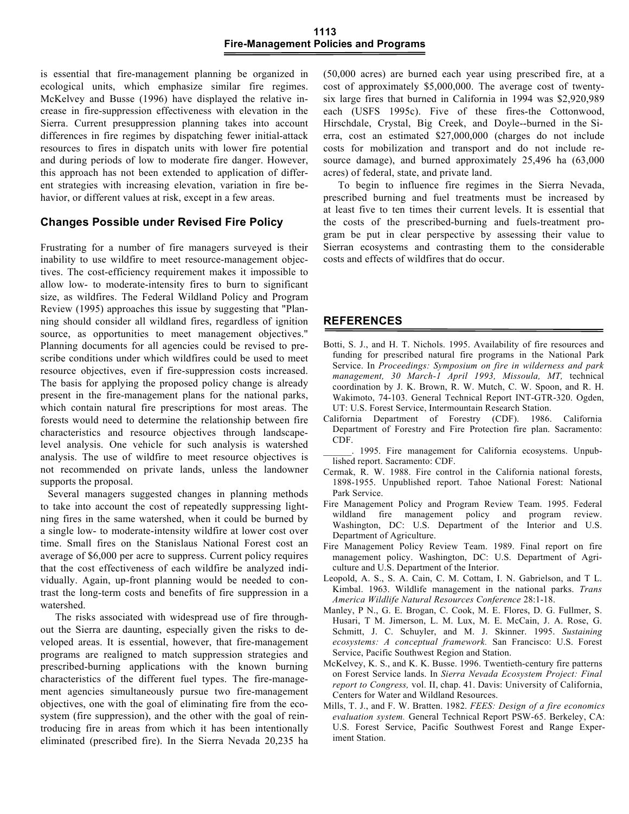**1113 Fire-Management Policies and Programs** 

is essential that fire-management planning be organized in ecological units, which emphasize similar fire regimes. McKelvey and Busse (1996) have displayed the relative increase in fire-suppression effectiveness with elevation in the Sierra. Current presuppression planning takes into account differences in fire regimes by dispatching fewer initial-attack resources to fires in dispatch units with lower fire potential and during periods of low to moderate fire danger. However, this approach has not been extended to application of different strategies with increasing elevation, variation in fire behavior, or different values at risk, except in a few areas.

#### **Changes Possible under Revised Fire Policy**

Frustrating for a number of fire managers surveyed is their inability to use wildfire to meet resource-management objectives. The cost-efficiency requirement makes it impossible to allow low- to moderate-intensity fires to burn to significant size, as wildfires. The Federal Wildland Policy and Program Review (1995) approaches this issue by suggesting that "Planning should consider all wildland fires, regardless of ignition source, as opportunities to meet management objectives." Planning documents for all agencies could be revised to prescribe conditions under which wildfires could be used to meet resource objectives, even if fire-suppression costs increased. The basis for applying the proposed policy change is already present in the fire-management plans for the national parks, which contain natural fire prescriptions for most areas. The forests would need to determine the relationship between fire characteristics and resource objectives through landscapelevel analysis. One vehicle for such analysis is watershed analysis. The use of wildfire to meet resource objectives is not recommended on private lands, unless the landowner supports the proposal.

Several managers suggested changes in planning methods to take into account the cost of repeatedly suppressing lightning fires in the same watershed, when it could be burned by a single low- to moderate-intensity wildfire at lower cost over time. Small fires on the Stanislaus National Forest cost an average of \$6,000 per acre to suppress. Current policy requires that the cost effectiveness of each wildfire be analyzed individually. Again, up-front planning would be needed to contrast the long-term costs and benefits of fire suppression in a watershed.

The risks associated with widespread use of fire throughout the Sierra are daunting, especially given the risks to developed areas. It is essential, however, that fire-management programs are realigned to match suppression strategies and prescribed-burning applications with the known burning characteristics of the different fuel types. The fire-management agencies simultaneously pursue two fire-management objectives, one with the goal of eliminating fire from the ecosystem (fire suppression), and the other with the goal of reintroducing fire in areas from which it has been intentionally eliminated (prescribed fire). In the Sierra Nevada 20,235 ha

(50,000 acres) are burned each year using prescribed fire, at a cost of approximately \$5,000,000. The average cost of twentysix large fires that burned in California in 1994 was \$2,920,989 each (USFS 1995c). Five of these fires-the Cottonwood, Hirschdale, Crystal, Big Creek, and Doyle--burned in the Sierra, cost an estimated \$27,000,000 (charges do not include costs for mobilization and transport and do not include resource damage), and burned approximately 25,496 ha (63,000 acres) of federal, state, and private land.

To begin to influence fire regimes in the Sierra Nevada, prescribed burning and fuel treatments must be increased by at least five to ten times their current levels. It is essential that the costs of the prescribed-burning and fuels-treatment program be put in clear perspective by assessing their value to Sierran ecosystems and contrasting them to the considerable costs and effects of wildfires that do occur.

#### **REFERENCES**

- Botti, S. J., and H. T. Nichols. 1995. Availability of fire resources and funding for prescribed natural fire programs in the National Park Service. In *Proceedings: Symposium on fire in wilderness and park management, 30 March-1 April 1993, Missoula, MT,* technical coordination by J. K. Brown, R. W. Mutch, C. W. Spoon, and R. H. Wakimoto, 74-103. General Technical Report INT-GTR-320. Ogden, UT: U.S. Forest Service, Intermountain Research Station.
- California Department of Forestry (CDF). 1986. California Department of Forestry and Fire Protection fire plan. Sacramento: CDF.
- 1995. Fire management for California ecosystems. Unpublished report. Sacramento: CDF.
- Cermak, R. W. 1988. Fire control in the California national forests, 1898-1955. Unpublished report. Tahoe National Forest: National Park Service.
- Fire Management Policy and Program Review Team. 1995. Federal wildland fire management policy and program review. Washington, DC: U.S. Department of the Interior and U.S. Department of Agriculture.
- Fire Management Policy Review Team. 1989. Final report on fire management policy. Washington, DC: U.S. Department of Agriculture and U.S. Department of the Interior.
- Leopold, A. S., S. A. Cain, C. M. Cottam, I. N. Gabrielson, and T L. Kimbal. 1963. Wildlife management in the national parks. *Trans America Wildlife Natural Resources Conference* 28:1-18.
- Manley, P N., G. E. Brogan, C. Cook, M. E. Flores, D. G. Fullmer, S. Husari, T M. Jimerson, L. M. Lux, M. E. McCain, J. A. Rose, G. Schmitt, J. C. Schuyler, and M. J. Skinner. 1995. *Sustaining ecosystems: A conceptual framework.* San Francisco: U.S. Forest Service, Pacific Southwest Region and Station.
- McKelvey, K. S., and K. K. Busse. 1996. Twentieth-century fire patterns on Forest Service lands. In *Sierra Nevada Ecosystem Project: Final report to Congress,* vol. II, chap. 41. Davis: University of California, Centers for Water and Wildland Resources.
- Mills, T. J., and F. W. Bratten. 1982. *FEES: Design of a fire economics evaluation system.* General Technical Report PSW-65. Berkeley, CA: U.S. Forest Service, Pacific Southwest Forest and Range Experiment Station.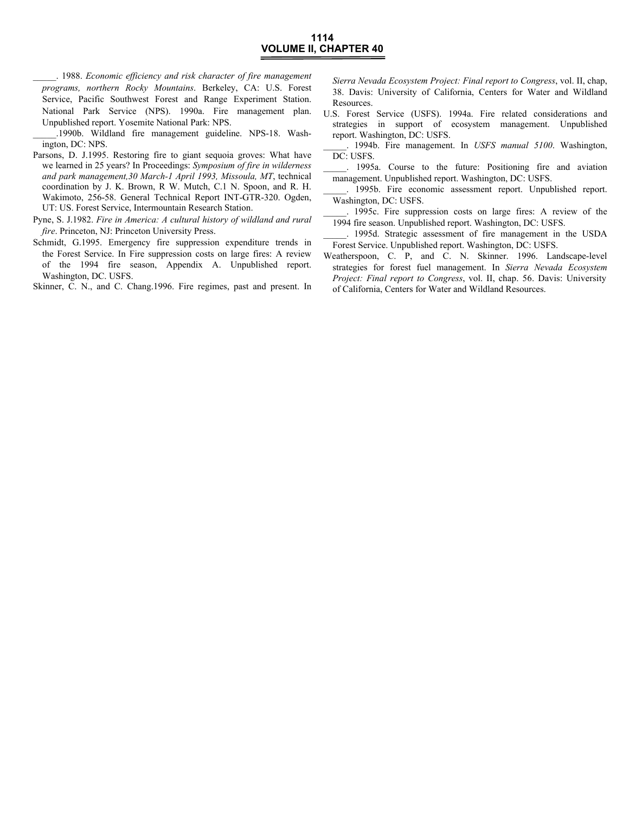#### **1114 VOLUME II, CHAPTER 40**

\_\_\_\_\_. 1988. *Economic efficiency and risk character of fire management programs, northern Rocky Mountains*. Berkeley, CA: U.S. Forest Service, Pacific Southwest Forest and Range Experiment Station. National Park Service (NPS). 1990a. Fire management plan. Unpublished report. Yosemite National Park: NPS.

\_\_\_\_\_.1990b. Wildland fire management guideline. NPS-18. Washington, DC: NPS.

- Parsons, D. J.1995. Restoring fire to giant sequoia groves: What have we learned in 25 years? In Proceedings: *Symposium of fire in wilderness and park management,30 March-1 April 1993, Missoula, MT*, technical coordination by J. K. Brown, R W. Mutch, C.1 N. Spoon, and R. H. Wakimoto, 256-58. General Technical Report INT-GTR-320. Ogden, UT: US. Forest Service, Intermountain Research Station.
- Pyne, S. J.1982. *Fire in America: A cultural history of wildland and rural fire*. Princeton, NJ: Princeton University Press.
- Schmidt, G.1995. Emergency fire suppression expenditure trends in the Forest Service. In Fire suppression costs on large fires: A review of the 1994 fire season, Appendix A. Unpublished report. Washington, DC. USFS.
- Skinner, C. N., and C. Chang.1996. Fire regimes, past and present. In

*Sierra Nevada Ecosystem Project: Final report to Congress*, vol. II, chap, 38. Davis: University of California, Centers for Water and Wildland Resources.

- U.S. Forest Service (USFS). 1994a. Fire related considerations and strategies in support of ecosystem management. Unpublished report. Washington, DC: USFS.
- \_\_\_\_\_. 1994b. Fire management. In *USFS manual 5100*. Washington, DC: USFS.
- \_\_\_\_\_. 1995a. Course to the future: Positioning fire and aviation management. Unpublished report. Washington, DC: USFS.
- \_\_\_\_\_. 1995b. Fire economic assessment report. Unpublished report. Washington, DC: USFS.
- 1995c. Fire suppression costs on large fires: A review of the 1994 fire season. Unpublished report. Washington, DC: USFS.
- \_\_\_\_\_. 1995d. Strategic assessment of fire management in the USDA Forest Service. Unpublished report. Washington, DC: USFS.
- Weatherspoon, C. P, and C. N. Skinner. 1996. Landscape-level strategies for forest fuel management. In *Sierra Nevada Ecosystem Project: Final report to Congress*, vol. II, chap. 56. Davis: University of California, Centers for Water and Wildland Resources.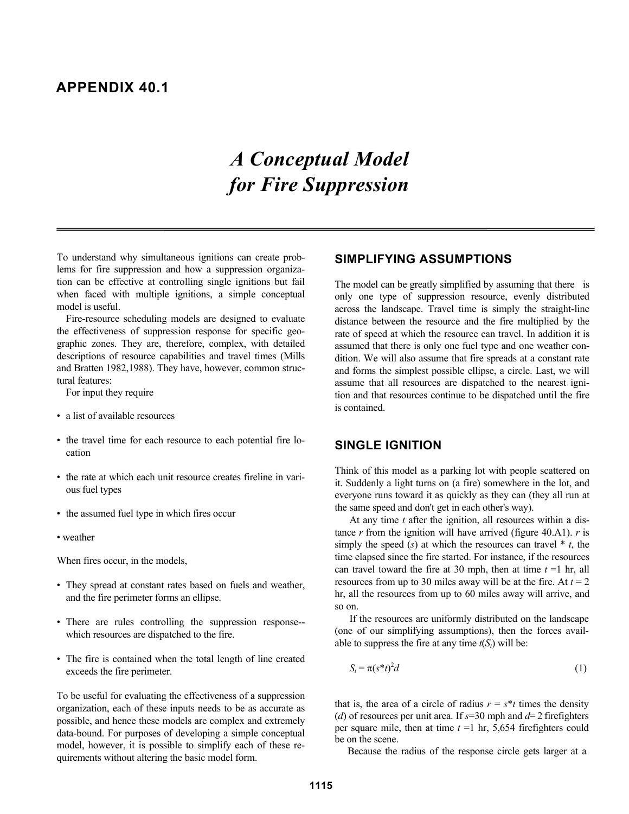### **APPENDIX 40.1**

# *A Conceptual Model for Fire Suppression*

To understand why simultaneous ignitions can create problems for fire suppression and how a suppression organization can be effective at controlling single ignitions but fail when faced with multiple ignitions, a simple conceptual model is useful.

Fire-resource scheduling models are designed to evaluate the effectiveness of suppression response for specific geographic zones. They are, therefore, complex, with detailed descriptions of resource capabilities and travel times (Mills and Bratten 1982,1988). They have, however, common structural features:

For input they require

- a list of available resources
- the travel time for each resource to each potential fire location
- the rate at which each unit resource creates fireline in various fuel types
- the assumed fuel type in which fires occur
- weather

When fires occur, in the models,

- They spread at constant rates based on fuels and weather, and the fire perimeter forms an ellipse.
- There are rules controlling the suppression response- which resources are dispatched to the fire.
- The fire is contained when the total length of line created exceeds the fire perimeter.

To be useful for evaluating the effectiveness of a suppression organization, each of these inputs needs to be as accurate as possible, and hence these models are complex and extremely data-bound. For purposes of developing a simple conceptual model, however, it is possible to simplify each of these requirements without altering the basic model form.

#### **SIMPLIFYING ASSUMPTIONS**

The model can be greatly simplified by assuming that there is only one type of suppression resource, evenly distributed across the landscape. Travel time is simply the straight-line distance between the resource and the fire multiplied by the rate of speed at which the resource can travel. In addition it is assumed that there is only one fuel type and one weather condition. We will also assume that fire spreads at a constant rate and forms the simplest possible ellipse, a circle. Last, we will assume that all resources are dispatched to the nearest ignition and that resources continue to be dispatched until the fire is contained.

#### **SINGLE IGNITION**

Think of this model as a parking lot with people scattered on it. Suddenly a light turns on (a fire) somewhere in the lot, and everyone runs toward it as quickly as they can (they all run at the same speed and don't get in each other's way).

At any time *t* after the ignition, all resources within a distance  $r$  from the ignition will have arrived (figure 40.A1).  $r$  is simply the speed  $(s)$  at which the resources can travel  $*$  *t*, the time elapsed since the fire started. For instance, if the resources can travel toward the fire at 30 mph, then at time  $t = 1$  hr, all resources from up to 30 miles away will be at the fire. At  $t = 2$ hr, all the resources from up to 60 miles away will arrive, and so on.

If the resources are uniformly distributed on the landscape (one of our simplifying assumptions), then the forces available to suppress the fire at any time  $t(S_t)$  will be:

$$
S_t = \pi (s^* t)^2 d \tag{1}
$$

that is, the area of a circle of radius  $r = s*t$  times the density (*d*) of resources per unit area. If  $s=30$  mph and  $d=2$  firefighters per square mile, then at time  $t = 1$  hr, 5,654 firefighters could be on the scene.

Because the radius of the response circle gets larger at a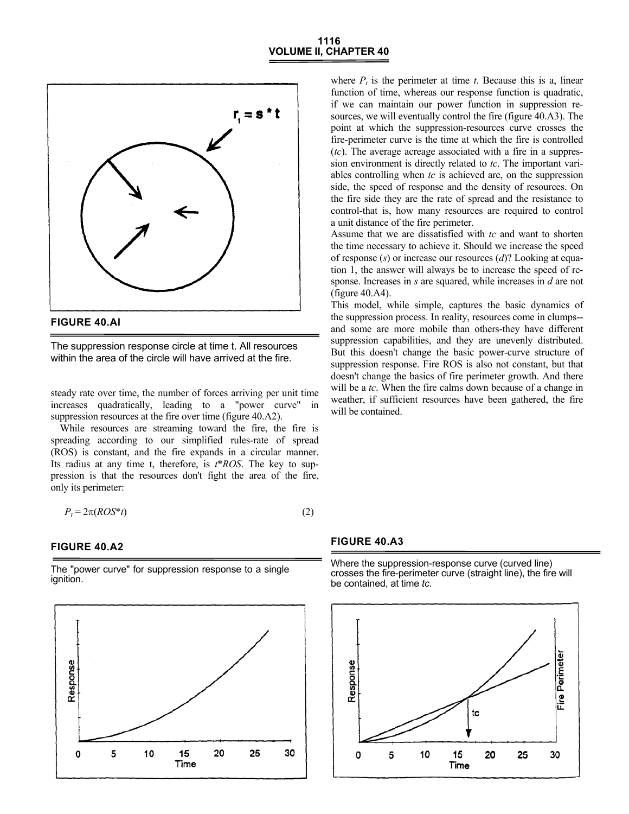

#### **FIGURE 40.Al**

The suppression response circle at time t. All resources within the area of the circle will have arrived at the fire.

steady rate over time, the number of forces arriving per unit time increases quadratically, leading to a "power curve" in suppression resources at the fire over time (figure 40.A2).

While resources are streaming toward the fire, the fire is spreading according to our simplified rules-rate of spread (ROS) is constant, and the fire expands in a circular manner. Its radius at any time t, therefore, is *t*\**ROS*. The key to suppression is that the resources don't fight the area of the fire, only its perimeter:

$$
P_t = 2\pi (ROS^*t) \tag{2}
$$

#### **FIGURE 40.A2**

The "power curve" for suppression response to a single ignition.



where  $P_t$  is the perimeter at time  $t$ . Because this is a, linear function of time, whereas our response function is quadratic, if we can maintain our power function in suppression resources, we will eventually control the fire (figure 40.A3). The point at which the suppression-resources curve crosses the fire-perimeter curve is the time at which the fire is controlled (*tc*). The average acreage associated with a fire in a suppression environment is directly related to *tc*. The important variables controlling when *tc* is achieved are, on the suppression side, the speed of response and the density of resources. On the fire side they are the rate of spread and the resistance to control-that is, how many resources are required to control a unit distance of the fire perimeter.

Assume that we are dissatisfied with *tc* and want to shorten the time necessary to achieve it. Should we increase the speed of response (*s*) or increase our resources (*d*)? Looking at equation 1, the answer will always be to increase the speed of response. Increases in *s* are squared, while increases in *d* are not (figure 40.A4).

This model, while simple, captures the basic dynamics of the suppression process. In reality, resources come in clumps- and some are more mobile than others-they have different suppression capabilities, and they are unevenly distributed. But this doesn't change the basic power-curve structure of suppression response. Fire ROS is also not constant, but that doesn't change the basics of fire perimeter growth. And there will be a *tc*. When the fire calms down because of a change in weather, if sufficient resources have been gathered, the fire will be contained.

#### **FIGURE 40.A3**

Where the suppression-response curve (curved line) crosses the fire-perimeter curve (straight line), the fire will be contained, at time *tc*.